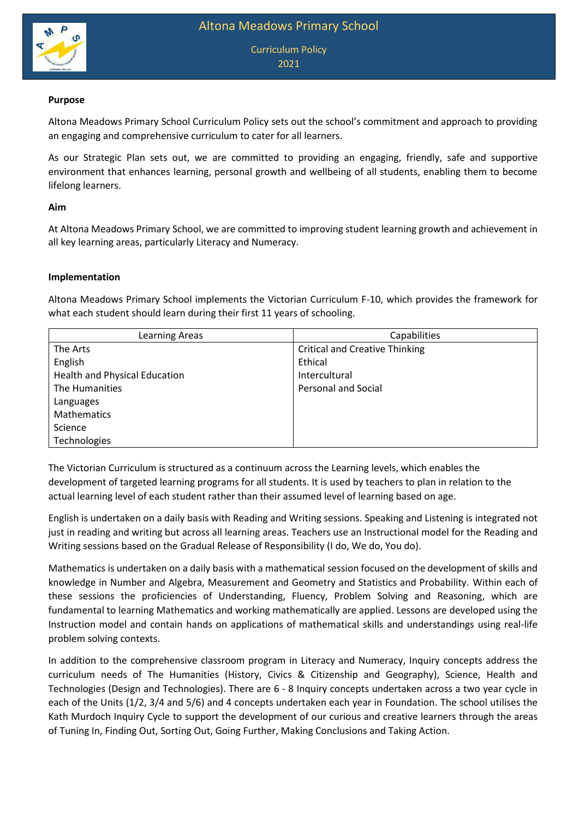

Curriculum Policy 2021

### **Purpose**

Altona Meadows Primary School Curriculum Policy sets out the school's commitment and approach to providing an engaging and comprehensive curriculum to cater for all learners.

As our Strategic Plan sets out, we are committed to providing an engaging, friendly, safe and supportive environment that enhances learning, personal growth and wellbeing of all students, enabling them to become lifelong learners.

### **Aim**

At Altona Meadows Primary School, we are committed to improving student learning growth and achievement in all key learning areas, particularly Literacy and Numeracy.

#### **Implementation**

Altona Meadows Primary School implements the Victorian Curriculum F-10, which provides the framework for what each student should learn during their first 11 years of schooling.

| Learning Areas                       | Capabilities                          |
|--------------------------------------|---------------------------------------|
| The Arts                             | <b>Critical and Creative Thinking</b> |
| English                              | Ethical                               |
| <b>Health and Physical Education</b> | Intercultural                         |
| The Humanities                       | <b>Personal and Social</b>            |
| Languages                            |                                       |
| <b>Mathematics</b>                   |                                       |
| Science                              |                                       |
| Technologies                         |                                       |

The Victorian Curriculum is structured as a continuum across the Learning levels, which enables the development of targeted learning programs for all students. It is used by teachers to plan in relation to the actual learning level of each student rather than their assumed level of learning based on age.

English is undertaken on a daily basis with Reading and Writing sessions. Speaking and Listening is integrated not just in reading and writing but across all learning areas. Teachers use an Instructional model for the Reading and Writing sessions based on the Gradual Release of Responsibility (I do, We do, You do).

Mathematics is undertaken on a daily basis with a mathematical session focused on the development of skills and knowledge in Number and Algebra, Measurement and Geometry and Statistics and Probability. Within each of these sessions the proficiencies of Understanding, Fluency, Problem Solving and Reasoning, which are fundamental to learning Mathematics and working mathematically are applied. Lessons are developed using the Instruction model and contain hands on applications of mathematical skills and understandings using real-life problem solving contexts.

In addition to the comprehensive classroom program in Literacy and Numeracy, Inquiry concepts address the curriculum needs of The Humanities (History, Civics & Citizenship and Geography), Science, Health and Technologies (Design and Technologies). There are 6 - 8 Inquiry concepts undertaken across a two year cycle in each of the Units (1/2, 3/4 and 5/6) and 4 concepts undertaken each year in Foundation. The school utilises the Kath Murdoch Inquiry Cycle to support the development of our curious and creative learners through the areas of Tuning In, Finding Out, Sorting Out, Going Further, Making Conclusions and Taking Action.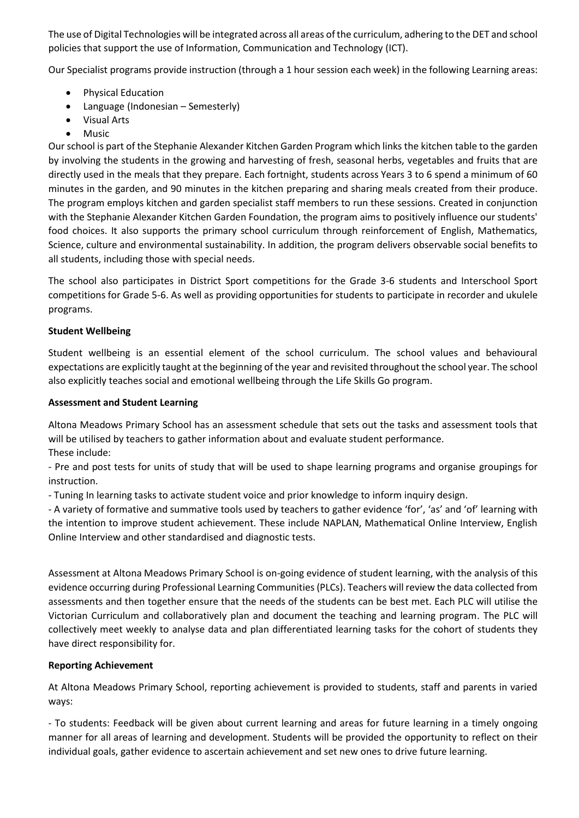The use of Digital Technologies will be integrated across all areas of the curriculum, adhering to the DET and school policies that support the use of Information, Communication and Technology (ICT).

Our Specialist programs provide instruction (through a 1 hour session each week) in the following Learning areas:

- Physical Education
- Language (Indonesian Semesterly)
- Visual Arts
- Music

Our school is part of the Stephanie Alexander Kitchen Garden Program which links the kitchen table to the garden by involving the students in the growing and harvesting of fresh, seasonal herbs, vegetables and fruits that are directly used in the meals that they prepare. Each fortnight, students across Years 3 to 6 spend a minimum of 60 minutes in the garden, and 90 minutes in the kitchen preparing and sharing meals created from their produce. The program employs kitchen and garden specialist staff members to run these sessions. Created in conjunction with the Stephanie Alexander Kitchen Garden Foundation, the program aims to positively influence our students' food choices. It also supports the primary school curriculum through reinforcement of English, Mathematics, Science, culture and environmental sustainability. In addition, the program delivers observable social benefits to all students, including those with special needs.

The school also participates in District Sport competitions for the Grade 3-6 students and Interschool Sport competitions for Grade 5-6. As well as providing opportunities for students to participate in recorder and ukulele programs.

# **Student Wellbeing**

Student wellbeing is an essential element of the school curriculum. The school values and behavioural expectations are explicitly taught at the beginning of the year and revisited throughout the school year. The school also explicitly teaches social and emotional wellbeing through the Life Skills Go program.

## **Assessment and Student Learning**

Altona Meadows Primary School has an assessment schedule that sets out the tasks and assessment tools that will be utilised by teachers to gather information about and evaluate student performance.

These include:

- Pre and post tests for units of study that will be used to shape learning programs and organise groupings for instruction.

- Tuning In learning tasks to activate student voice and prior knowledge to inform inquiry design.

- A variety of formative and summative tools used by teachers to gather evidence 'for', 'as' and 'of' learning with the intention to improve student achievement. These include NAPLAN, Mathematical Online Interview, English Online Interview and other standardised and diagnostic tests.

Assessment at Altona Meadows Primary School is on-going evidence of student learning, with the analysis of this evidence occurring during Professional Learning Communities(PLCs). Teachers will review the data collected from assessments and then together ensure that the needs of the students can be best met. Each PLC will utilise the Victorian Curriculum and collaboratively plan and document the teaching and learning program. The PLC will collectively meet weekly to analyse data and plan differentiated learning tasks for the cohort of students they have direct responsibility for.

# **Reporting Achievement**

At Altona Meadows Primary School, reporting achievement is provided to students, staff and parents in varied ways:

- To students: Feedback will be given about current learning and areas for future learning in a timely ongoing manner for all areas of learning and development. Students will be provided the opportunity to reflect on their individual goals, gather evidence to ascertain achievement and set new ones to drive future learning.